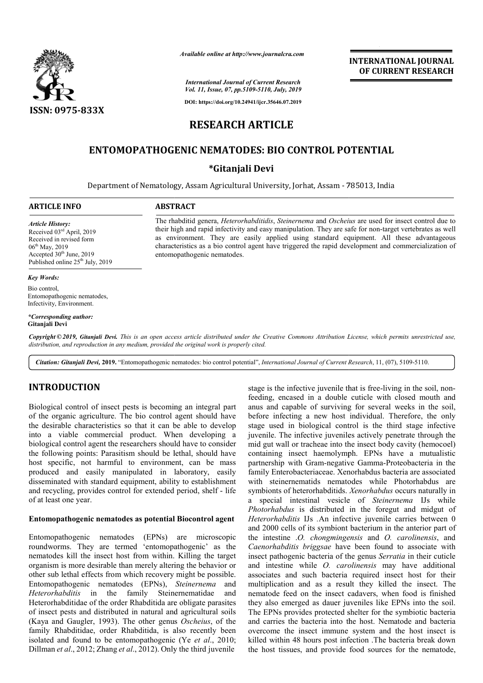

*Available online at http://www.journalcra.com*

**INTERNATIONAL JOURNAL OF CURRENT RESEARCH**

*International Journal of Current Research Vol. 11, Issue, 07, pp.5109-5110, July, 2019*

**DOI: https://doi.org/10.24941/ijcr.35646.07.2019**

# **RESEARCH ARTICLE**

# **ENTOMOPATHOGENIC NEMATODES: BIO CONTROL POTENTIAL**

## **\*Gitanjali Devi**

Department of Nematology, Assam Agricultural University, Jorhat, Assam - 785013, India

The rhabditid genera, *Heterorhabditidis*, *Steinernema* and *Oscheius* are used for insect control due to their high and rapid infectivity and easy manipulation. They are safe for non-target vertebrates as well as environment. They are easily applied using standard equipment. All these advantageous as environment. They are easily applied using standard equipment. All these advantageous characteristics as a bio control agent have triggered the rapid development and commercialization of

#### **ARTICLE INFO ABSTRACT**

entomopathogenic nematodes.

#### *Article History:*

Received 03rd April, 2019 Received in revised form 06<sup>th</sup> May, 2019 Accepted 30<sup>th</sup> June, 2019 Published online  $25<sup>th</sup>$  July, 2019

#### *Key Words:*

Bio control, Entomopathogenic nematodes, Infectivity, Environment.

*\*Corresponding author:*  **Gitanjali Devi**

Copyright © 2019, Gitanjali Devi. This is an open access article distributed under the Creative Commons Attribution License, which permits unrestricted use,

*distribution, and reproduction in any medium, provided the original work is properly cited.*

Citation: Gitanjali Devi, 2019. "Entomopathogenic nematodes: bio control potential", *International Journal of Current Research*, 11, (07), 5109-5110.

## **INTRODUCTION**

Biological control of insect pests is becoming an integral part of the organic agriculture. The bio control agent should have the desirable characteristics so that it can be able to develop into a viable commercial product. When developing a biological control agent the researchers should have to consider the following points: Parasitism should be lethal, should have host specific, not harmful to environment, can be mass produced and easily manipulated in laboratory, easily disseminated with standard equipment, ability to establishment and recycling, provides control for extended period, shelf - life of at least one year.

#### **Entomopathogenic nematodes as potential Biocontrol agent**

Entomopathogenic nematodes (EPNs) are microscopic roundworms. They are termed 'entomopathogenic' as the nematodes kill the insect host from within. Killing the target organism is more desirable than merely altering the behavior or other sub lethal effects from which recovery might be possible. Entomopathogenic nematodes (EPNs), *Steinernema* and *Heterorhabditis* in the family Steinernematidae and Heterorhabditidae of the order Rhabditida are obligate parasites of insect pests and distributed in natural and agricultural soils (Kaya and Gaugler, 1993). The other genus *Oscheius*, of the family Rhabditidae, order Rhabditida, is also recently been isolated and found to be entomopathogenic (Ye *et al*., 2010; Dillman *et al*., 2012; Zhang *et al*., 2012). Only the third juvenile

stage is the infective juvenile that is free-living in the soil, nonfeeding, encased in a double cuticle with closed mouth and anus and capable of surviving for several weeks in the soil, before infecting a new host individual. Therefore, the only stage used in biological control is the third stage infective juvenile. The infective juveniles actively penetrate through the mid gut wall or tracheae into the insect body cavity (hemocoel) containing insect haemolymph. EPNs have a mutualistic partnership with Gram-negative Gamma-Proteobacteria in the family Enterobacteriaceae. Xenorhabdus bacteria are associated with steinernematids nematodes while Photorhabdus are symbionts of heterorhabditids. *Xenorhabdus* occurs naturally in a special intestinal vesicle of *Steinernema* IJs while *Photorhabdus* is distributed in the foregut and midgut of *Heterorhabditis* IJs *.*An infective juvenile carries between 0 and 2000 cells of its symbiont bacterium in the anterior part of the intestine .*O. chongmingensis*  Caenorhabditis briggsae have been found to associate with insect pathogenic bacteria of the genus *Serratia* in their cuticle and intestine while *O. carolinensis carolinensis* may have additional associates and such bacteria required insect host for their multiplication and as a result they killed the insect. The nematode feed on the insect cadavers, when food is finished they also emerged as dauer juveniles like EPNs into the soil. The EPNs provides protected shelter for the symbiotic bacteria and carries the bacteria into the host. Nematode and bacteria overcome the insect immune system and the host insect is killed within 48 hours post infection .The bacteria break down the host tissues, and provide food sources for the nematode, ing, encased in a double cuticle with closed mouth and<br>and capable of surviving for several weeks in the soil,<br>re infecting a new host individual. Therefore, the only<br>e used in biological control is the third stage infecti torhabdus is distributed in the foregut and midgut of *erorhabditis* IJs .An infective juvenile carries between 0 2000 cells of its symbiont bacterium in the anterior part of intestine .*O. chongmingensis* and *O. caroline* induced insect host for their iplication and as a result they killed the insect. The atode feed on the insect cadavers, when food is finished also emerged as dauer juveniles like EPNs into the soil. EPNs provides protected